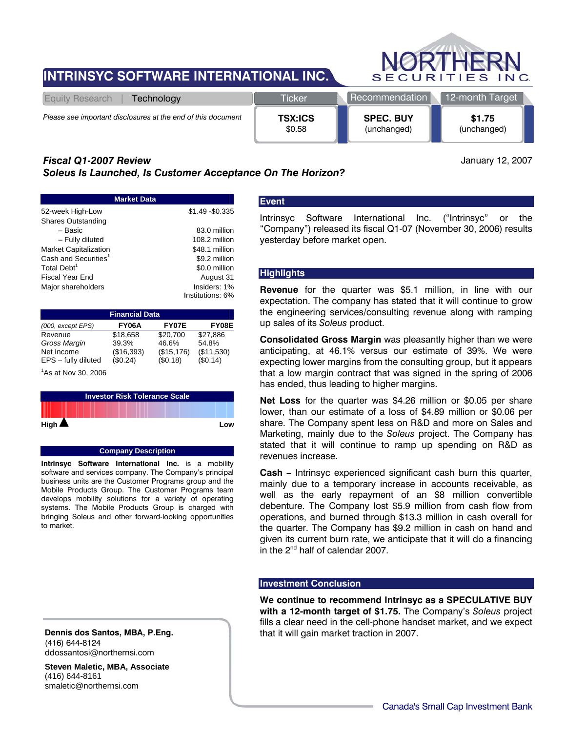# **INTRINSYC SOFTWARE INTERNATIONAL INC.**



| Technology<br>Equity Research                                | <b>Ticker</b>  | <b>Recommendation</b> | 12-month Target |  |  |
|--------------------------------------------------------------|----------------|-----------------------|-----------------|--|--|
| Please see important disclosures at the end of this document | <b>TSX:ICS</b> | <b>SPEC. BUY</b>      | \$1.75          |  |  |
|                                                              | \$0.58         | (unchanged)           | (unchanged)     |  |  |

# *Fiscal Q1-2007 Review*

*Soleus Is Launched, Is Customer Acceptance On The Horizon?* 

January 12, 2007

| <b>Market Data</b>               |                  |  |  |  |
|----------------------------------|------------------|--|--|--|
| 52-week High-Low                 | \$1.49 - \$0.335 |  |  |  |
| Shares Outstanding               |                  |  |  |  |
| – Basic                          | 83.0 million     |  |  |  |
| - Fully diluted                  | 108.2 million    |  |  |  |
| <b>Market Capitalization</b>     | \$48.1 million   |  |  |  |
| Cash and Securities <sup>1</sup> | \$9.2 million    |  |  |  |
| Total Debt <sup>1</sup>          | \$0.0 million    |  |  |  |
| Fiscal Year End                  | August 31        |  |  |  |
| Major shareholders               | Insiders: 1%     |  |  |  |
|                                  | Institutions: 6% |  |  |  |

| <b>Financial Data</b>           |              |             |            |  |  |  |
|---------------------------------|--------------|-------------|------------|--|--|--|
| (000, except EPS)               | <b>FY06A</b> | FY07E       | FY08E      |  |  |  |
| Revenue                         | \$18.658     | \$20.700    | \$27.886   |  |  |  |
| Gross Margin                    | 39.3%        | 46.6%       | 54.8%      |  |  |  |
| Net Income                      | (\$16,393)   | (\$15, 176) | (\$11,530) |  |  |  |
| EPS - fully diluted             | (\$0.24)     | (\$0.18)    | (S0.14)    |  |  |  |
| <sup>1</sup> As at Nov 30, 2006 |              |             |            |  |  |  |

| <b>Investor Risk Tolerance Scale</b> |  |     |  |  |
|--------------------------------------|--|-----|--|--|
|                                      |  |     |  |  |
| High $\blacktriangle$                |  | Low |  |  |

#### **Company Description**

**Intrinsyc Software International Inc.** is a mobility software and services company. The Company's principal business units are the Customer Programs group and the Mobile Products Group. The Customer Programs team develops mobility solutions for a variety of operating systems. The Mobile Products Group is charged with bringing Soleus and other forward-looking opportunities to market.

**Dennis dos Santos, MBA, P.Eng.**  (416) 644-8124 ddossantosi@northernsi.com

**Steven Maletic, MBA, Associate** (416) 644-8161 smaletic@northernsi.com

# **Event**

Intrinsyc Software International Inc. ("Intrinsyc" or the "Company") released its fiscal Q1-07 (November 30, 2006) results yesterday before market open.

# **Highlights**

**Revenue** for the quarter was \$5.1 million, in line with our expectation. The company has stated that it will continue to grow the engineering services/consulting revenue along with ramping up sales of its *Soleus* product.

**Consolidated Gross Margin** was pleasantly higher than we were anticipating, at 46.1% versus our estimate of 39%. We were expecting lower margins from the consulting group, but it appears that a low margin contract that was signed in the spring of 2006 has ended, thus leading to higher margins.

**Net Loss** for the quarter was \$4.26 million or \$0.05 per share lower, than our estimate of a loss of \$4.89 million or \$0.06 per share. The Company spent less on R&D and more on Sales and Marketing, mainly due to the *Soleus* project. The Company has stated that it will continue to ramp up spending on R&D as revenues increase.

**Cash –** Intrinsyc experienced significant cash burn this quarter, mainly due to a temporary increase in accounts receivable, as well as the early repayment of an \$8 million convertible debenture. The Company lost \$5.9 million from cash flow from operations, and burned through \$13.3 million in cash overall for the quarter. The Company has \$9.2 million in cash on hand and given its current burn rate, we anticipate that it will do a financing in the 2<sup>nd</sup> half of calendar 2007.

#### **Investment Conclusion**

**We continue to recommend Intrinsyc as a SPECULATIVE BUY with a 12-month target of \$1.75.** The Company's *Soleus* project fills a clear need in the cell-phone handset market, and we expect that it will gain market traction in 2007.